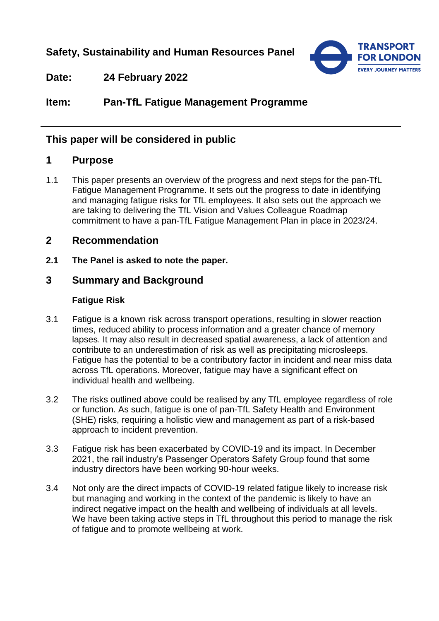**Safety, Sustainability and Human Resources Panel**



**Date: 24 February 2022**

**Item: Pan-TfL Fatigue Management Programme**

# **This paper will be considered in public**

# **1 Purpose**

1.1 This paper presents an overview of the progress and next steps for the pan-TfL Fatigue Management Programme. It sets out the progress to date in identifying and managing fatigue risks for TfL employees. It also sets out the approach we are taking to delivering the TfL Vision and Values Colleague Roadmap commitment to have a pan-TfL Fatigue Management Plan in place in 2023/24.

# **2 Recommendation**

**2.1 The Panel is asked to note the paper.**

# **3 Summary and Background**

### **Fatigue Risk**

- 3.1 Fatigue is a known risk across transport operations, resulting in slower reaction times, reduced ability to process information and a greater chance of memory lapses. It may also result in decreased spatial awareness, a lack of attention and contribute to an underestimation of risk as well as precipitating microsleeps. Fatigue has the potential to be a contributory factor in incident and near miss data across TfL operations. Moreover, fatigue may have a significant effect on individual health and wellbeing.
- 3.2 The risks outlined above could be realised by any TfL employee regardless of role or function. As such, fatigue is one of pan-TfL Safety Health and Environment (SHE) risks, requiring a holistic view and management as part of a risk-based approach to incident prevention.
- 3.3 Fatigue risk has been exacerbated by COVID-19 and its impact. In December 2021, the rail industry's Passenger Operators Safety Group found that some industry directors have been working 90-hour weeks.
- 3.4 Not only are the direct impacts of COVID-19 related fatigue likely to increase risk but managing and working in the context of the pandemic is likely to have an indirect negative impact on the health and wellbeing of individuals at all levels. We have been taking active steps in TfL throughout this period to manage the risk of fatigue and to promote wellbeing at work.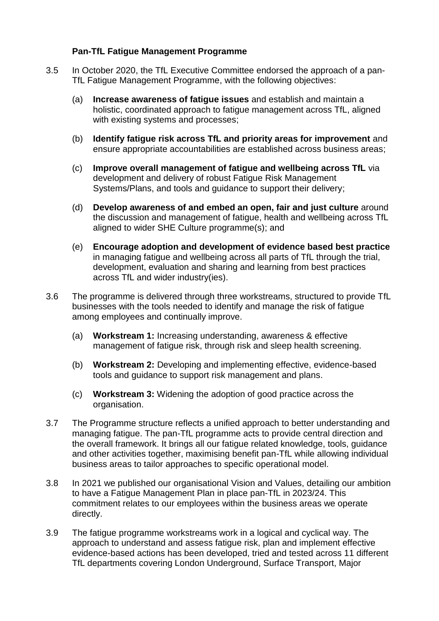### **Pan-TfL Fatigue Management Programme**

- 3.5 In October 2020, the TfL Executive Committee endorsed the approach of a pan-TfL Fatigue Management Programme, with the following objectives:
	- (a) **Increase awareness of fatigue issues** and establish and maintain a holistic, coordinated approach to fatigue management across TfL, aligned with existing systems and processes;
	- (b) **Identify fatigue risk across TfL and priority areas for improvement** and ensure appropriate accountabilities are established across business areas;
	- (c) **Improve overall management of fatigue and wellbeing across TfL** via development and delivery of robust Fatigue Risk Management Systems/Plans, and tools and guidance to support their delivery;
	- (d) **Develop awareness of and embed an open, fair and just culture** around the discussion and management of fatigue, health and wellbeing across TfL aligned to wider SHE Culture programme(s); and
	- (e) **Encourage adoption and development of evidence based best practice** in managing fatigue and wellbeing across all parts of TfL through the trial, development, evaluation and sharing and learning from best practices across TfL and wider industry(ies).
- 3.6 The programme is delivered through three workstreams, structured to provide TfL businesses with the tools needed to identify and manage the risk of fatigue among employees and continually improve.
	- (a) **Workstream 1:** Increasing understanding, awareness & effective management of fatigue risk, through risk and sleep health screening.
	- (b) **Workstream 2:** Developing and implementing effective, evidence-based tools and guidance to support risk management and plans.
	- (c) **Workstream 3:** Widening the adoption of good practice across the organisation.
- 3.7 The Programme structure reflects a unified approach to better understanding and managing fatigue. The pan-TfL programme acts to provide central direction and the overall framework. It brings all our fatigue related knowledge, tools, guidance and other activities together, maximising benefit pan-TfL while allowing individual business areas to tailor approaches to specific operational model.
- 3.8 In 2021 we published our organisational Vision and Values, detailing our ambition to have a Fatigue Management Plan in place pan-TfL in 2023/24. This commitment relates to our employees within the business areas we operate directly.
- 3.9 The fatigue programme workstreams work in a logical and cyclical way. The approach to understand and assess fatigue risk, plan and implement effective evidence-based actions has been developed, tried and tested across 11 different TfL departments covering London Underground, Surface Transport, Major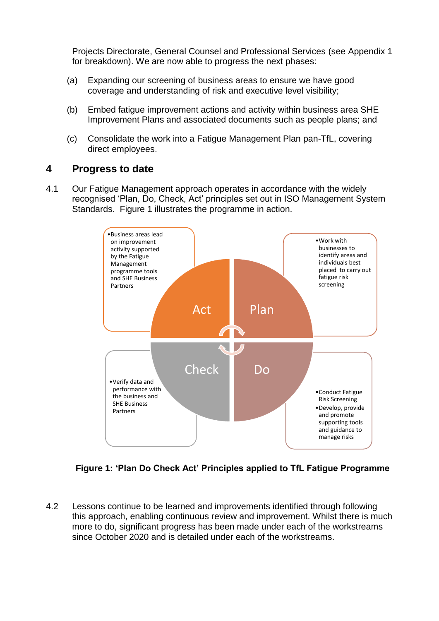Projects Directorate, General Counsel and Professional Services (see Appendix 1 for breakdown). We are now able to progress the next phases:

- (a) Expanding our screening of business areas to ensure we have good coverage and understanding of risk and executive level visibility;
- (b) Embed fatigue improvement actions and activity within business area SHE Improvement Plans and associated documents such as people plans; and
- (c) Consolidate the work into a Fatigue Management Plan pan-TfL, covering direct employees.

### **4 Progress to date**

4.1 Our Fatigue Management approach operates in accordance with the widely recognised 'Plan, Do, Check, Act' principles set out in ISO Management System Standards. Figure 1 illustrates the programme in action.



**Figure 1: 'Plan Do Check Act' Principles applied to TfL Fatigue Programme** 

4.2 Lessons continue to be learned and improvements identified through following this approach, enabling continuous review and improvement. Whilst there is much more to do, significant progress has been made under each of the workstreams since October 2020 and is detailed under each of the workstreams.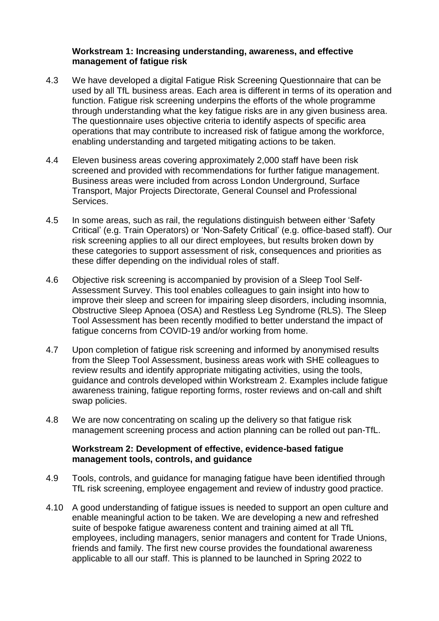#### **Workstream 1: Increasing understanding, awareness, and effective management of fatigue risk**

- 4.3 We have developed a digital Fatigue Risk Screening Questionnaire that can be used by all TfL business areas. Each area is different in terms of its operation and function. Fatigue risk screening underpins the efforts of the whole programme through understanding what the key fatigue risks are in any given business area. The questionnaire uses objective criteria to identify aspects of specific area operations that may contribute to increased risk of fatigue among the workforce, enabling understanding and targeted mitigating actions to be taken.
- 4.4 Eleven business areas covering approximately 2,000 staff have been risk screened and provided with recommendations for further fatigue management. Business areas were included from across London Underground, Surface Transport, Major Projects Directorate, General Counsel and Professional **Services**
- 4.5 In some areas, such as rail, the regulations distinguish between either 'Safety Critical' (e.g. Train Operators) or 'Non-Safety Critical' (e.g. office-based staff). Our risk screening applies to all our direct employees, but results broken down by these categories to support assessment of risk, consequences and priorities as these differ depending on the individual roles of staff.
- 4.6 Objective risk screening is accompanied by provision of a [Sleep Tool Self-](https://tfl.thirdpillarofhealth.com/)[Assessment Survey. This tool enables](https://tfl.thirdpillarofhealth.com/) colleagues to gain insight into how to improve their sleep and screen for impairing sleep disorders, including insomnia, Obstructive Sleep Apnoea (OSA) and Restless Leg Syndrome (RLS). The Sleep Tool Assessment has been recently modified to better understand the impact of fatigue concerns from COVID-19 and/or working from home.
- 4.7 Upon completion of fatigue risk screening and informed by anonymised results from the Sleep Tool Assessment, business areas work with SHE colleagues to review results and identify appropriate mitigating activities, using the tools, guidance and controls developed within Workstream 2. Examples include fatigue awareness training, fatigue reporting forms, roster reviews and on-call and shift swap policies.
- 4.8 We are now concentrating on scaling up the delivery so that fatigue risk management screening process and action planning can be rolled out pan-TfL.

#### **Workstream 2: Development of effective, evidence-based fatigue management tools, controls, and guidance**

- 4.9 Tools, controls, and guidance for managing fatigue have been identified through TfL risk screening, employee engagement and review of industry good practice.
- 4.10 A good understanding of fatigue issues is needed to support an open culture and enable meaningful action to be taken. We are developing a new and refreshed suite of bespoke fatigue awareness content and training aimed at all TfL employees, including managers, senior managers and content for Trade Unions, friends and family. The first new course provides the foundational awareness applicable to all our staff. This is planned to be launched in Spring 2022 to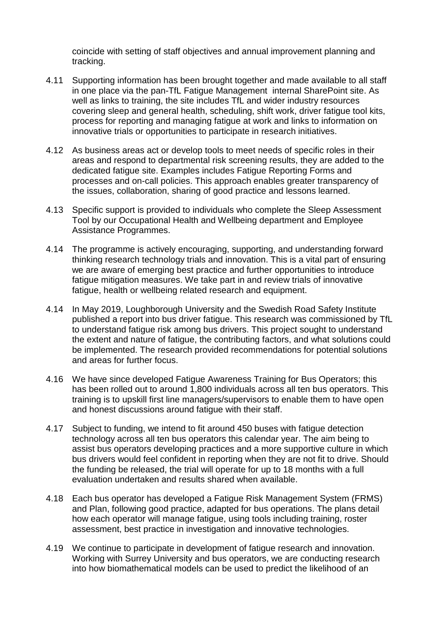coincide with setting of staff objectives and annual improvement planning and tracking.

- 4.11 Supporting information has been brought together and made available to all staff in one place via the [pan-TfL Fatigue Management internal SharePoint site.](https://transportforlondon.sharepoint.com/sites/hse/SitePages/Fatigue-Management-Programme.aspx) As well as links to training, the site includes TfL and wider industry resources covering sleep and general health, scheduling, shift work, driver fatigue tool kits, process for reporting and managing fatigue at work and links to information on innovative trials or opportunities to participate in research initiatives.
- 4.12 As business areas act or develop tools to meet needs of specific roles in their areas and respond to departmental risk screening results, they are added to the dedicated fatigue site. Examples includes Fatigue Reporting Forms and processes and on-call policies. This approach enables greater transparency of the issues, collaboration, sharing of good practice and lessons learned.
- 4.13 Specific support is provided to individuals who complete the Sleep Assessment Tool by our Occupational Health and Wellbeing department and Employee Assistance Programmes.
- 4.14 The programme is actively encouraging, supporting, and understanding forward thinking research technology trials and innovation. This is a vital part of ensuring we are aware of emerging best practice and further opportunities to introduce fatigue mitigation measures. We take part in and review trials of innovative fatigue, health or wellbeing related research and equipment.
- 4.14 In May 2019, Loughborough University and the Swedish Road Safety Institute published a report into bus driver fatigue. This research was commissioned by TfL to understand fatigue risk among bus drivers. This project sought to understand the extent and nature of fatigue, the contributing factors, and what solutions could be implemented. The research provided recommendations for potential solutions and areas for further focus.
- 4.16 We have since developed Fatigue Awareness Training for Bus Operators; this has been rolled out to around 1,800 individuals across all ten bus operators. This training is to upskill first line managers/supervisors to enable them to have open and honest discussions around fatigue with their staff.
- 4.17 Subject to funding, we intend to fit around 450 buses with fatigue detection technology across all ten bus operators this calendar year. The aim being to assist bus operators developing practices and a more supportive culture in which bus drivers would feel confident in reporting when they are not fit to drive. Should the funding be released, the trial will operate for up to 18 months with a full evaluation undertaken and results shared when available.
- 4.18 Each bus operator has developed a Fatigue Risk Management System (FRMS) and Plan, following good practice, adapted for bus operations. The plans detail how each operator will manage fatigue, using tools including training, roster assessment, best practice in investigation and innovative technologies.
- 4.19 We continue to participate in development of fatigue research and innovation. Working with Surrey University and bus operators, we are conducting research into how biomathematical models can be used to predict the likelihood of an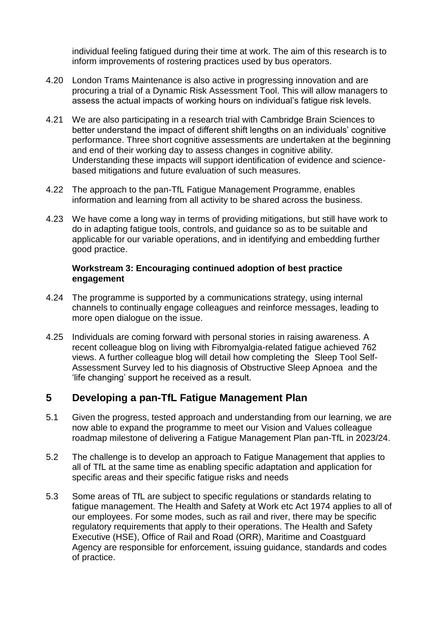individual feeling fatigued during their time at work. The aim of this research is to inform improvements of rostering practices used by bus operators.

- 4.20 London Trams Maintenance is also active in progressing innovation and are procuring a trial of a Dynamic Risk Assessment Tool. This will allow managers to assess the actual impacts of working hours on individual's fatigue risk levels.
- 4.21 We are also participating in a research trial with Cambridge Brain Sciences to better understand the impact of different shift lengths on an individuals' cognitive performance. Three short cognitive assessments are undertaken at the beginning and end of their working day to assess changes in cognitive ability. Understanding these impacts will support identification of evidence and sciencebased mitigations and future evaluation of such measures.
- 4.22 The approach to the pan-TfL Fatigue Management Programme, enables information and learning from all activity to be shared across the business.
- 4.23 We have come a long way in terms of providing mitigations, but still have work to do in adapting fatigue tools, controls, and guidance so as to be suitable and applicable for our variable operations, and in identifying and embedding further good practice.

#### **Workstream 3: Encouraging continued adoption of best practice engagement**

- 4.24 The programme is supported by a communications strategy, using internal channels to continually engage colleagues and reinforce messages, leading to more open dialogue on the issue.
- 4.25 Individuals are coming forward with personal stories in raising awareness. A recent [colleague blog](https://transportforlondon.sharepoint.com/sites/blogs/SitePages/Chronic-fatigue.aspx) on living with Fibromyalgia-related fatigue achieved 762 views. A further colleague blog will detail how completing the [Sleep Tool Self-](https://tfl.thirdpillarofhealth.com/)[Assessment Survey](https://tfl.thirdpillarofhealth.com/) led to his diagnosis of Obstructive Sleep Apnoea and the 'life changing' support he received as a result.

# **5 Developing a pan-TfL Fatigue Management Plan**

- 5.1 Given the progress, tested approach and understanding from our learning, we are now able to expand the programme to meet our Vision and Values colleague roadmap milestone of delivering a Fatigue Management Plan pan-TfL in 2023/24.
- 5.2 The challenge is to develop an approach to Fatigue Management that applies to all of TfL at the same time as enabling specific adaptation and application for specific areas and their specific fatigue risks and needs
- 5.3 Some areas of TfL are subject to specific regulations or standards relating to fatigue management. The Health and Safety at Work etc Act 1974 applies to all of our employees. For some modes, such as rail and river, there may be specific regulatory requirements that apply to their operations. The Health and Safety Executive (HSE), Office of Rail and Road (ORR), Maritime and Coastguard Agency are responsible for enforcement, issuing guidance, standards and codes of practice.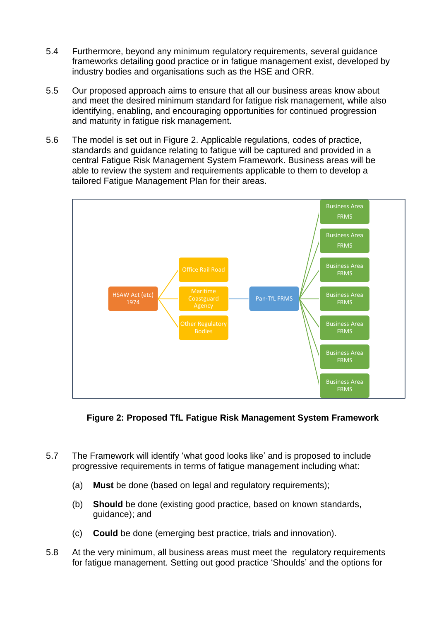- 5.4 Furthermore, beyond any minimum regulatory requirements, several guidance frameworks detailing good practice or in fatigue management exist, developed by industry bodies and organisations such as the HSE and ORR.
- 5.5 Our proposed approach aims to ensure that all our business areas know about and meet the desired minimum standard for fatigue risk management, while also identifying, enabling, and encouraging opportunities for continued progression and maturity in fatigue risk management.
- 5.6 The model is set out in Figure 2. Applicable regulations, codes of practice, standards and guidance relating to fatigue will be captured and provided in a central Fatigue Risk Management System Framework. Business areas will be able to review the system and requirements applicable to them to develop a tailored Fatigue Management Plan for their areas.



### **Figure 2: Proposed TfL Fatigue Risk Management System Framework**

- 5.7 The Framework will identify 'what good looks like' and is proposed to include progressive requirements in terms of fatigue management including what:
	- (a) **Must** be done (based on legal and regulatory requirements);
	- (b) **Should** be done (existing good practice, based on known standards, guidance); and
	- (c) **Could** be done (emerging best practice, trials and innovation).
- 5.8 At the very minimum, all business areas must meet the regulatory requirements for fatigue management. Setting out good practice 'Shoulds' and the options for